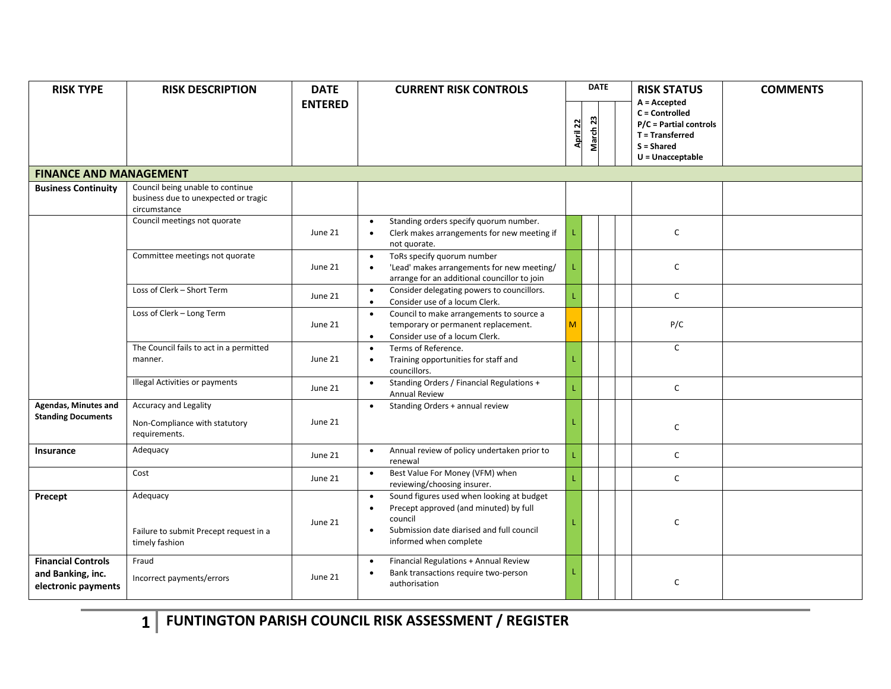| <b>RISK TYPE</b>                                                      | <b>RISK DESCRIPTION</b>                                                                  | <b>DATE</b>    | <b>CURRENT RISK CONTROLS</b>                                                                                                                                                                    |          | <b>DATE</b> |  | <b>RISK STATUS</b>                                                                                                  | <b>COMMENTS</b> |
|-----------------------------------------------------------------------|------------------------------------------------------------------------------------------|----------------|-------------------------------------------------------------------------------------------------------------------------------------------------------------------------------------------------|----------|-------------|--|---------------------------------------------------------------------------------------------------------------------|-----------------|
|                                                                       |                                                                                          | <b>ENTERED</b> |                                                                                                                                                                                                 | April 22 | 23<br>March |  | $A = Accepted$<br>C = Controlled<br>P/C = Partial controls<br>T = Transferred<br>$S = Shared$<br>$U =$ Unacceptable |                 |
| <b>FINANCE AND MANAGEMENT</b>                                         |                                                                                          |                |                                                                                                                                                                                                 |          |             |  |                                                                                                                     |                 |
| <b>Business Continuity</b>                                            | Council being unable to continue<br>business due to unexpected or tragic<br>circumstance |                |                                                                                                                                                                                                 |          |             |  |                                                                                                                     |                 |
|                                                                       | Council meetings not quorate                                                             | June 21        | Standing orders specify quorum number.<br>$\bullet$<br>Clerk makes arrangements for new meeting if<br>$\bullet$<br>not quorate.                                                                 |          |             |  | $\mathsf{C}$                                                                                                        |                 |
|                                                                       | Committee meetings not quorate                                                           | June 21        | ToRs specify quorum number<br>$\bullet$<br>'Lead' makes arrangements for new meeting/<br>$\bullet$<br>arrange for an additional councillor to join                                              |          |             |  | $\mathsf C$                                                                                                         |                 |
|                                                                       | Loss of Clerk - Short Term                                                               | June 21        | Consider delegating powers to councillors.<br>$\bullet$<br>Consider use of a locum Clerk.<br>$\bullet$                                                                                          |          |             |  | $\mathsf{C}$                                                                                                        |                 |
|                                                                       | Loss of Clerk - Long Term                                                                | June 21        | Council to make arrangements to source a<br>$\bullet$<br>temporary or permanent replacement.<br>Consider use of a locum Clerk.<br>$\bullet$                                                     | м        |             |  | P/C                                                                                                                 |                 |
|                                                                       | The Council fails to act in a permitted<br>manner.                                       | June 21        | Terms of Reference.<br>$\bullet$<br>Training opportunities for staff and<br>$\bullet$<br>councillors.                                                                                           |          |             |  | $\mathsf{C}$                                                                                                        |                 |
|                                                                       | Illegal Activities or payments                                                           | June 21        | Standing Orders / Financial Regulations +<br>$\bullet$<br><b>Annual Review</b>                                                                                                                  |          |             |  | $\mathsf{C}$                                                                                                        |                 |
| Agendas, Minutes and<br><b>Standing Documents</b>                     | <b>Accuracy and Legality</b><br>Non-Compliance with statutory<br>requirements.           | June 21        | Standing Orders + annual review<br>$\bullet$                                                                                                                                                    |          |             |  | $\mathsf C$                                                                                                         |                 |
| Insurance                                                             | Adequacy                                                                                 | June 21        | Annual review of policy undertaken prior to<br>$\bullet$<br>renewal                                                                                                                             |          |             |  | $\mathsf C$                                                                                                         |                 |
|                                                                       | Cost                                                                                     | June 21        | Best Value For Money (VFM) when<br>$\bullet$<br>reviewing/choosing insurer.                                                                                                                     |          |             |  | C                                                                                                                   |                 |
| Precept                                                               | Adequacy<br>Failure to submit Precept request in a<br>timely fashion                     | June 21        | Sound figures used when looking at budget<br>$\bullet$<br>Precept approved (and minuted) by full<br>council<br>Submission date diarised and full council<br>$\bullet$<br>informed when complete |          |             |  | $\mathsf{C}$                                                                                                        |                 |
| <b>Financial Controls</b><br>and Banking, inc.<br>electronic payments | Fraud<br>Incorrect payments/errors                                                       | June 21        | Financial Regulations + Annual Review<br>$\bullet$<br>Bank transactions require two-person<br>$\bullet$<br>authorisation                                                                        |          |             |  | $\mathsf{C}$                                                                                                        |                 |

**1 FUNTINGTON PARISH COUNCIL RISK ASSESSMENT / REGISTER**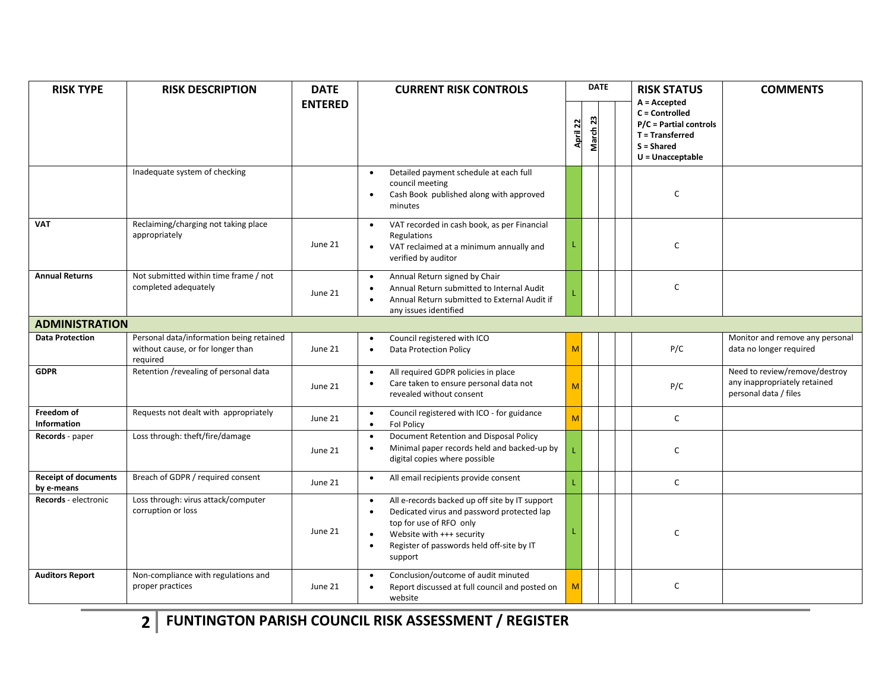| <b>RISK TYPE</b>                          | <b>RISK DESCRIPTION</b>                                                                   | <b>DATE</b><br><b>ENTERED</b> | <b>CURRENT RISK CONTROLS</b>                                                                                                                                                                                                                                     |                                | <b>DATE</b> |  | <b>RISK STATUS</b>                                                                                                  | <b>COMMENTS</b>                                                                        |
|-------------------------------------------|-------------------------------------------------------------------------------------------|-------------------------------|------------------------------------------------------------------------------------------------------------------------------------------------------------------------------------------------------------------------------------------------------------------|--------------------------------|-------------|--|---------------------------------------------------------------------------------------------------------------------|----------------------------------------------------------------------------------------|
|                                           |                                                                                           |                               |                                                                                                                                                                                                                                                                  | $\overline{2}$<br><b>April</b> | March 23    |  | $A =$ Accepted<br>C = Controlled<br>P/C = Partial controls<br>T = Transferred<br>$S = Shared$<br>$U =$ Unacceptable |                                                                                        |
|                                           | Inadequate system of checking                                                             |                               | Detailed payment schedule at each full<br>$\bullet$<br>council meeting<br>Cash Book published along with approved<br>$\bullet$<br>minutes                                                                                                                        |                                |             |  | $\mathsf{C}$                                                                                                        |                                                                                        |
| <b>VAT</b>                                | Reclaiming/charging not taking place<br>appropriately                                     | June 21                       | VAT recorded in cash book, as per Financial<br>$\bullet$<br>Regulations<br>VAT reclaimed at a minimum annually and<br>$\bullet$<br>verified by auditor                                                                                                           |                                |             |  | C                                                                                                                   |                                                                                        |
| <b>Annual Returns</b>                     | Not submitted within time frame / not<br>completed adequately                             | June 21                       | Annual Return signed by Chair<br>$\bullet$<br>Annual Return submitted to Internal Audit<br>$\bullet$<br>Annual Return submitted to External Audit if<br>any issues identified                                                                                    |                                |             |  | $\mathsf{C}$                                                                                                        |                                                                                        |
| <b>ADMINISTRATION</b>                     |                                                                                           |                               |                                                                                                                                                                                                                                                                  |                                |             |  |                                                                                                                     |                                                                                        |
| <b>Data Protection</b>                    | Personal data/information being retained<br>without cause, or for longer than<br>required | June 21                       | Council registered with ICO<br>$\bullet$<br>Data Protection Policy<br>$\bullet$                                                                                                                                                                                  | M                              |             |  | P/C                                                                                                                 | Monitor and remove any personal<br>data no longer required                             |
| <b>GDPR</b>                               | Retention /revealing of personal data                                                     | June 21                       | All required GDPR policies in place<br>$\bullet$<br>Care taken to ensure personal data not<br>revealed without consent                                                                                                                                           | M                              |             |  | P/C                                                                                                                 | Need to review/remove/destroy<br>any inappropriately retained<br>personal data / files |
| Freedom of<br><b>Information</b>          | Requests not dealt with appropriately                                                     | June 21                       | Council registered with ICO - for guidance<br>$\bullet$<br>Fol Policy<br>$\bullet$                                                                                                                                                                               | M                              |             |  | $\mathsf{C}$                                                                                                        |                                                                                        |
| Records - paper                           | Loss through: theft/fire/damage                                                           | June 21                       | Document Retention and Disposal Policy<br>$\bullet$<br>Minimal paper records held and backed-up by<br>$\bullet$<br>digital copies where possible                                                                                                                 |                                |             |  | $\mathsf{C}$                                                                                                        |                                                                                        |
| <b>Receipt of documents</b><br>by e-means | Breach of GDPR / required consent                                                         | June 21                       | All email recipients provide consent<br>$\bullet$                                                                                                                                                                                                                |                                |             |  | $\mathsf{C}$                                                                                                        |                                                                                        |
| Records - electronic                      | Loss through: virus attack/computer<br>corruption or loss                                 | June 21                       | All e-records backed up off site by IT support<br>$\bullet$<br>Dedicated virus and password protected lap<br>$\bullet$<br>top for use of RFO only<br>Website with +++ security<br>$\bullet$<br>Register of passwords held off-site by IT<br>$\bullet$<br>support |                                |             |  | $\mathsf{C}$                                                                                                        |                                                                                        |
| <b>Auditors Report</b>                    | Non-compliance with regulations and<br>proper practices                                   | June 21                       | Conclusion/outcome of audit minuted<br>$\bullet$<br>Report discussed at full council and posted on<br>website                                                                                                                                                    | M                              |             |  | $\mathsf C$                                                                                                         |                                                                                        |

**2 FUNTINGTON PARISH COUNCIL RISK ASSESSMENT / REGISTER**